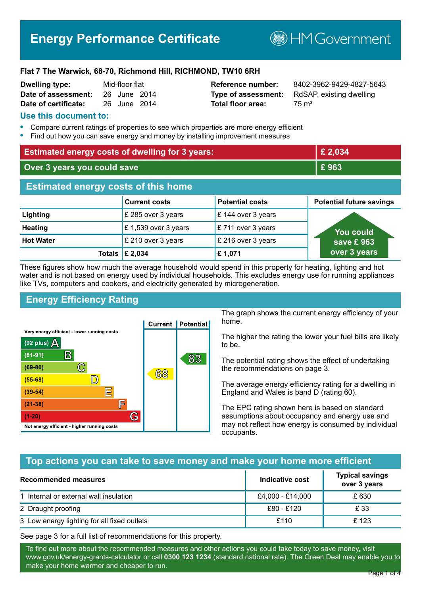# **Energy Performance Certificate**

**BHM Government** 

#### **Flat 7 The Warwick, 68-70, Richmond Hill, RICHMOND, TW10 6RH**

| <b>Dwelling type:</b> | Mid-floor flat |  |
|-----------------------|----------------|--|
| Date of assessment:   | 26 June 2014   |  |
| Date of certificate:  | 26 June 2014   |  |

# **Total floor area:** 75 m<sup>2</sup>

**Reference number:** 8402-3962-9429-4827-5643 **Type of assessment:** RdSAP, existing dwelling

#### **Use this document to:**

- **•** Compare current ratings of properties to see which properties are more energy efficient
- **•** Find out how you can save energy and money by installing improvement measures

| <b>Estimated energy costs of dwelling for 3 years:</b> |                           |                        | £ 2,034                         |
|--------------------------------------------------------|---------------------------|------------------------|---------------------------------|
| Over 3 years you could save                            |                           | £963                   |                                 |
| <b>Estimated energy costs of this home</b>             |                           |                        |                                 |
|                                                        | <b>Current costs</b>      | <b>Potential costs</b> | <b>Potential future savings</b> |
| Lighting                                               | £ 285 over 3 years        | £144 over 3 years      |                                 |
| <b>Heating</b>                                         | £1,539 over 3 years       | £711 over 3 years      | <b>You could</b>                |
| <b>Hot Water</b>                                       | £ 210 over 3 years        | £ 216 over 3 years     | save £963                       |
|                                                        | Totals $\mathsf{E}$ 2,034 | £1,071                 | over 3 years                    |

These figures show how much the average household would spend in this property for heating, lighting and hot water and is not based on energy used by individual households. This excludes energy use for running appliances like TVs, computers and cookers, and electricity generated by microgeneration.

# **Energy Efficiency Rating**



The graph shows the current energy efficiency of your home.

The higher the rating the lower your fuel bills are likely to be.

The potential rating shows the effect of undertaking the recommendations on page 3.

The average energy efficiency rating for a dwelling in England and Wales is band D (rating 60).

The EPC rating shown here is based on standard assumptions about occupancy and energy use and may not reflect how energy is consumed by individual occupants.

### **Top actions you can take to save money and make your home more efficient**

| Recommended measures                        | Indicative cost  | <b>Typical savings</b><br>over 3 years |
|---------------------------------------------|------------------|----------------------------------------|
| 1 Internal or external wall insulation      | £4,000 - £14,000 | £ 630                                  |
| 2 Draught proofing                          | £80 - £120       | £ 33                                   |
| 3 Low energy lighting for all fixed outlets | £110             | £123                                   |

See page 3 for a full list of recommendations for this property.

To find out more about the recommended measures and other actions you could take today to save money, visit www.gov.uk/energy-grants-calculator or call **0300 123 1234** (standard national rate). The Green Deal may enable you to make your home warmer and cheaper to run.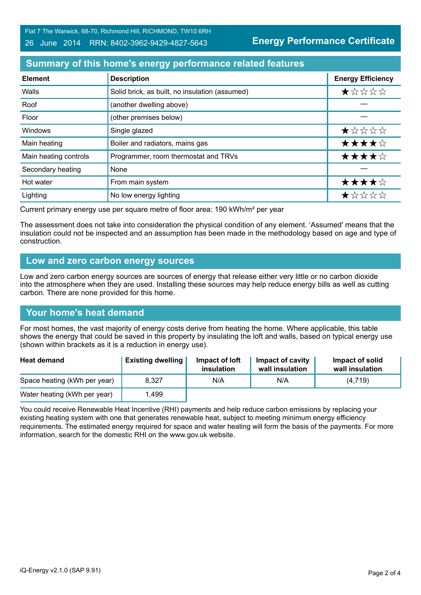Flat 7 The Warwick, 68-70, Richmond Hill, RICHMOND, TW10 6RH

#### 26 June 2014 RRN: 8402-3962-9429-4827-5643

**Energy Performance Certificate**

## **Summary of this home's energy performance related features**

| <b>Element</b>        | <b>Description</b>                             | <b>Energy Efficiency</b> |
|-----------------------|------------------------------------------------|--------------------------|
| Walls                 | Solid brick, as built, no insulation (assumed) | $\star$ * * * *          |
| Roof                  | (another dwelling above)                       |                          |
| Floor                 | (other premises below)                         |                          |
| Windows               | Single glazed                                  | ★☆☆☆☆                    |
| Main heating          | Boiler and radiators, mains gas                | ★★★★☆                    |
| Main heating controls | Programmer, room thermostat and TRVs           | ★★★★☆                    |
| Secondary heating     | None                                           |                          |
| Hot water             | From main system                               | ★★★★☆                    |
| Lighting              | No low energy lighting                         | *****                    |

Current primary energy use per square metre of floor area: 190 kWh/m² per year

The assessment does not take into consideration the physical condition of any element. 'Assumed' means that the insulation could not be inspected and an assumption has been made in the methodology based on age and type of construction.

#### **Low and zero carbon energy sources**

Low and zero carbon energy sources are sources of energy that release either very little or no carbon dioxide into the atmosphere when they are used. Installing these sources may help reduce energy bills as well as cutting carbon. There are none provided for this home.

### **Your home's heat demand**

For most homes, the vast majority of energy costs derive from heating the home. Where applicable, this table shows the energy that could be saved in this property by insulating the loft and walls, based on typical energy use (shown within brackets as it is a reduction in energy use).

| <b>Heat demand</b>           | <b>Existing dwelling</b> | Impact of loft<br>insulation | Impact of cavity<br>wall insulation | Impact of solid<br>wall insulation |
|------------------------------|--------------------------|------------------------------|-------------------------------------|------------------------------------|
| Space heating (kWh per year) | 8.327                    | N/A                          | N/A                                 | (4.719)                            |
| Water heating (kWh per year) | .499                     |                              |                                     |                                    |

You could receive Renewable Heat Incentive (RHI) payments and help reduce carbon emissions by replacing your existing heating system with one that generates renewable heat, subject to meeting minimum energy efficiency requirements. The estimated energy required for space and water heating will form the basis of the payments. For more information, search for the domestic RHI on the www.gov.uk website.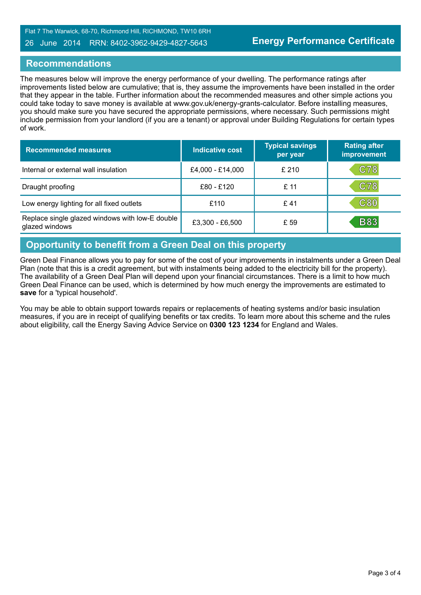#### 26 June 2014 RRN: 8402-3962-9429-4827-5643

#### **Recommendations**

The measures below will improve the energy performance of your dwelling. The performance ratings after improvements listed below are cumulative; that is, they assume the improvements have been installed in the order that they appear in the table. Further information about the recommended measures and other simple actions you could take today to save money is available at www.gov.uk/energy-grants-calculator. Before installing measures, you should make sure you have secured the appropriate permissions, where necessary. Such permissions might include permission from your landlord (if you are a tenant) or approval under Building Regulations for certain types of work.

| <b>Recommended measures</b>                                       | Indicative cost  | <b>Typical savings</b><br>per year | <b>Rating after</b><br>improvement |
|-------------------------------------------------------------------|------------------|------------------------------------|------------------------------------|
| Internal or external wall insulation                              | £4,000 - £14,000 | £210                               | <b>C78</b>                         |
| Draught proofing                                                  | £80 - £120       | £11                                | C78                                |
| Low energy lighting for all fixed outlets                         | £110             | £ 41                               | C80                                |
| Replace single glazed windows with low-E double<br>glazed windows | £3,300 - £6,500  | £ 59                               | <b>B83</b>                         |

# **Opportunity to benefit from a Green Deal on this property**

Green Deal Finance allows you to pay for some of the cost of your improvements in instalments under a Green Deal Plan (note that this is a credit agreement, but with instalments being added to the electricity bill for the property). The availability of a Green Deal Plan will depend upon your financial circumstances. There is a limit to how much Green Deal Finance can be used, which is determined by how much energy the improvements are estimated to **save** for a 'typical household'.

You may be able to obtain support towards repairs or replacements of heating systems and/or basic insulation measures, if you are in receipt of qualifying benefits or tax credits. To learn more about this scheme and the rules about eligibility, call the Energy Saving Advice Service on **0300 123 1234** for England and Wales.